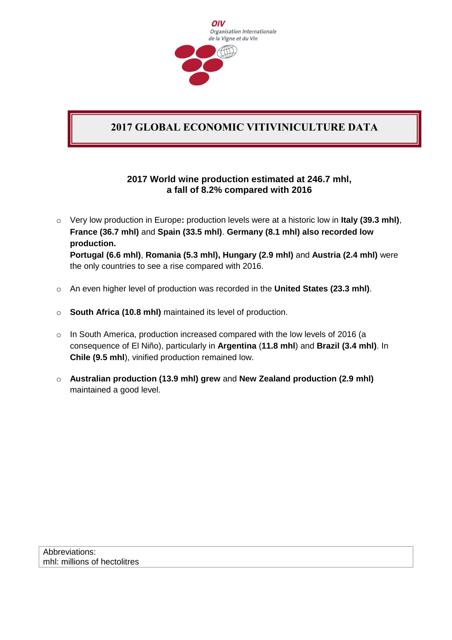

## **2017 GLOBAL ECONOMIC VITIVINICULTURE DATA**

## **2017 World wine production estimated at 246.7 mhl, a fall of 8.2% compared with 2016**

- o Very low production in Europe**:** production levels were at a historic low in **Italy (39.3 mhl)**, **France (36.7 mhl)** and **Spain (33.5 mhl)**. **Germany (8.1 mhl) also recorded low production. Portugal (6.6 mhl)**, **Romania (5.3 mhl), Hungary (2.9 mhl)** and **Austria (2.4 mhl)** were the only countries to see a rise compared with 2016.
- o An even higher level of production was recorded in the **United States (23.3 mhl)**.
- o **South Africa (10.8 mhl)** maintained its level of production.
- $\circ$  In South America, production increased compared with the low levels of 2016 (a consequence of El Niño), particularly in **Argentina** (**11.8 mhl**) and **Brazil (3.4 mhl)**. In **Chile (9.5 mhl**), vinified production remained low.
- o **Australian production (13.9 mhl) grew** and **New Zealand production (2.9 mhl)** maintained a good level.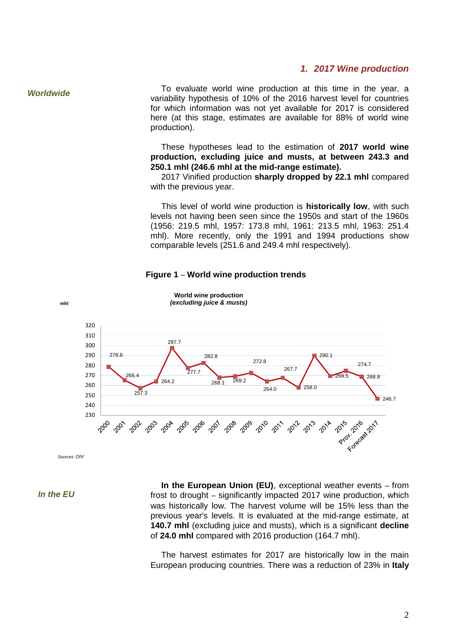## *1. 2017 Wine production*

*Worldwide* 

To evaluate world wine production at this time in the year, a variability hypothesis of 10% of the 2016 harvest level for countries for which information was not yet available for 2017 is considered here (at this stage, estimates are available for 88% of world wine production).

These hypotheses lead to the estimation of **2017 world wine production, excluding juice and musts, at between 243.3 and 250.1 mhl (246.6 mhl at the mid-range estimate).**

2017 Vinified production **sharply dropped by 22.1 mhl** compared with the previous year.

This level of world wine production is **historically low**, with such levels not having been seen since the 1950s and start of the 1960s (1956: 219.5 mhl, 1957: 173.8 mhl, 1961: 213.5 mhl, 1963: 251.4 mhl). More recently, only the 1991 and 1994 productions show comparable levels (251.6 and 249.4 mhl respectively).





*Sources: OIV*

*In the EU*

**In the European Union (EU)**, exceptional weather events – from frost to drought – significantly impacted 2017 wine production, which was historically low. The harvest volume will be 15% less than the previous year's levels. It is evaluated at the mid-range estimate, at **140.7 mhl** (excluding juice and musts), which is a significant **decline** of **24.0 mhl** compared with 2016 production (164.7 mhl).

The harvest estimates for 2017 are historically low in the main European producing countries. There was a reduction of 23% in **Italy**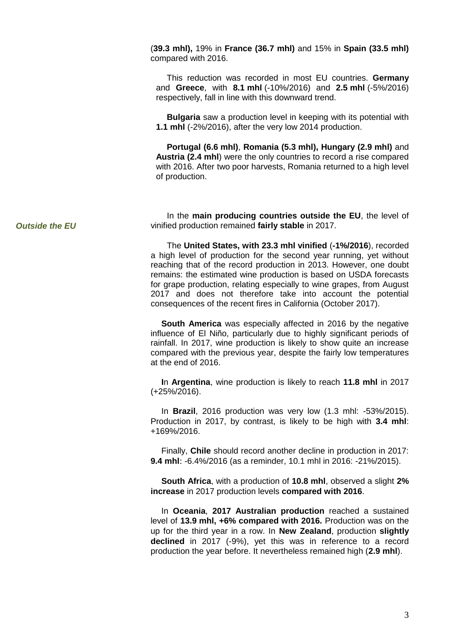(**39.3 mhl),** 19% in **France (36.7 mhl)** and 15% in **Spain (33.5 mhl)** compared with 2016.

This reduction was recorded in most EU countries. **Germany** and **Greece**, with **8.1 mhl** (-10%/2016) and **2.5 mhl** (-5%/2016) respectively, fall in line with this downward trend.

**Bulgaria** saw a production level in keeping with its potential with **1.1 mhl** (-2%/2016), after the very low 2014 production.

**Portugal (6.6 mhl)**, **Romania (5.3 mhl), Hungary (2.9 mhl)** and **Austria (2.4 mhl**) were the only countries to record a rise compared with 2016. After two poor harvests, Romania returned to a high level of production.

In the **main producing countries outside the EU**, the level of vinified production remained **fairly stable** in 2017.

The **United States, with 23.3 mhl vinified** (**-1%/2016**), recorded a high level of production for the second year running, yet without reaching that of the record production in 2013. However, one doubt remains: the estimated wine production is based on USDA forecasts for grape production, relating especially to wine grapes, from August 2017 and does not therefore take into account the potential consequences of the recent fires in California (October 2017).

**South America** was especially affected in 2016 by the negative influence of El Niño, particularly due to highly significant periods of rainfall. In 2017, wine production is likely to show quite an increase compared with the previous year, despite the fairly low temperatures at the end of 2016.

**I**n **Argentina**, wine production is likely to reach **11.8 mhl** in 2017 (+25%/2016).

In **Brazil**, 2016 production was very low (1.3 mhl: -53%/2015). Production in 2017, by contrast, is likely to be high with **3.4 mhl**: +169%/2016.

Finally, **Chile** should record another decline in production in 2017: **9.4 mhl**: -6.4%/2016 (as a reminder, 10.1 mhl in 2016: -21%/2015).

**South Africa**, with a production of **10.8 mhl**, observed a slight **2% increase** in 2017 production levels **compared with 2016**.

In **Oceania**, **2017 Australian production** reached a sustained level of **13.9 mhl, +6% compared with 2016.** Production was on the up for the third year in a row. In **New Zealand**, production **slightly declined** in 2017 (-9%), yet this was in reference to a record production the year before. It nevertheless remained high (**2.9 mhl**).

*Outside the EU*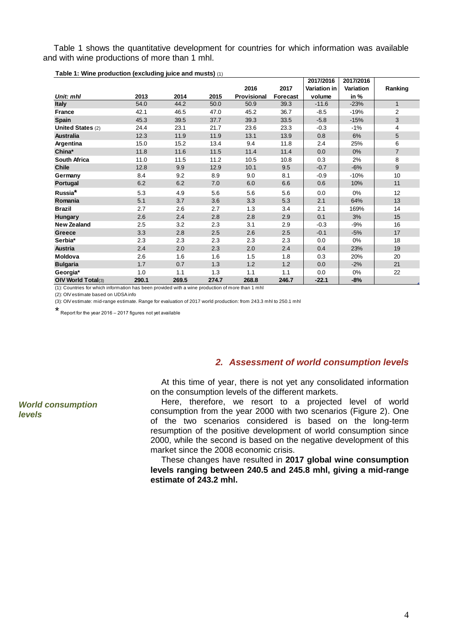Table 1 shows the quantitative development for countries for which information was available and with wine productions of more than 1 mhl.

|                          |       |       |       |             |                 | 2017/2016    | 2017/2016 |                |
|--------------------------|-------|-------|-------|-------------|-----------------|--------------|-----------|----------------|
|                          |       |       |       | 2016        | 2017            | Variation in | Variation | Ranking        |
| Unit: mhl                | 2013  | 2014  | 2015  | Provisional | <b>Forecast</b> | volume       | in %      |                |
| <b>Italy</b>             | 54.0  | 44.2  | 50.0  | 50.9        | 39.3            | $-11.6$      | $-23%$    | $\mathbf{1}$   |
| <b>France</b>            | 42.1  | 46.5  | 47.0  | 45.2        | 36.7            | $-8.5$       | $-19%$    | $\overline{c}$ |
| <b>Spain</b>             | 45.3  | 39.5  | 37.7  | 39.3        | 33.5            | $-5.8$       | $-15%$    | 3              |
| <b>United States (2)</b> | 24.4  | 23.1  | 21.7  | 23.6        | 23.3            | $-0.3$       | $-1%$     | 4              |
| <b>Australia</b>         | 12.3  | 11.9  | 11.9  | 13.1        | 13.9            | 0.8          | 6%        | 5              |
| Argentina                | 15.0  | 15.2  | 13.4  | 9.4         | 11.8            | 2.4          | 25%       | 6              |
| China*                   | 11.8  | 11.6  | 11.5  | 11.4        | 11.4            | 0.0          | 0%        | $\overline{7}$ |
| <b>South Africa</b>      | 11.0  | 11.5  | 11.2  | 10.5        | 10.8            | 0.3          | 2%        | 8              |
| <b>Chile</b>             | 12.8  | 9.9   | 12.9  | 10.1        | 9.5             | $-0.7$       | $-6%$     | 9              |
| Germany                  | 8.4   | 9.2   | 8.9   | 9.0         | 8.1             | $-0.9$       | $-10%$    | 10             |
| Portugal                 | 6.2   | 6.2   | 7.0   | 6.0         | 6.6             | 0.6          | 10%       | 11             |
| Russia <sup>*</sup>      | 5.3   | 4.9   | 5.6   | 5.6         | 5.6             | 0.0          | 0%        | 12             |
| Romania                  | 5.1   | 3.7   | 3.6   | 3.3         | 5.3             | 2.1          | 64%       | 13             |
| <b>Brazil</b>            | 2.7   | 2.6   | 2.7   | 1.3         | 3.4             | 2.1          | 169%      | 14             |
| <b>Hungary</b>           | 2.6   | 2.4   | 2.8   | 2.8         | 2.9             | 0.1          | 3%        | 15             |
| <b>New Zealand</b>       | 2.5   | 3.2   | 2.3   | 3.1         | 2.9             | $-0.3$       | $-9%$     | 16             |
| Greece                   | 3.3   | 2.8   | 2.5   | 2.6         | 2.5             | $-0.1$       | $-5%$     | 17             |
| Serbia*                  | 2.3   | 2.3   | 2.3   | 2.3         | 2.3             | 0.0          | 0%        | 18             |
| Austria                  | 2.4   | 2.0   | 2.3   | 2.0         | 2.4             | 0.4          | 23%       | 19             |
| Moldova                  | 2.6   | 1.6   | 1.6   | 1.5         | 1.8             | 0.3          | 20%       | 20             |
| <b>Bulgaria</b>          | 1.7   | 0.7   | 1.3   | 1.2         | 1.2             | 0.0          | $-2%$     | 21             |
| Georgia*                 | 1.0   | 1.1   | 1.3   | 1.1         | 1.1             | 0.0          | 0%        | 22             |
| OIV World Total(3)       | 290.1 | 269.5 | 274.7 | 268.8       | 246.7           | $-22.1$      | $-8%$     |                |

**Table 1: Wine production (excluding juice and musts)** (1)

(1): Countries for which information has been provided with a wine production of more than 1 mhl

(2): OIV estimate based on UDSA info

(3): OIV estimate: mid-range estimate. Range for evaluation of 2017 world production: from 243.3 mhl to 250.1 mhl

\* Report for the year 2016 – 2017 figures not yet available

## *2. Assessment of world consumption levels*

At this time of year, there is not yet any consolidated information on the consumption levels of the different markets.

Here, therefore, we resort to a projected level of world consumption from the year 2000 with two scenarios (Figure 2). One of the two scenarios considered is based on the long-term resumption of the positive development of world consumption since 2000, while the second is based on the negative development of this market since the 2008 economic crisis.

These changes have resulted in **2017 global wine consumption levels ranging between 240.5 and 245.8 mhl, giving a mid-range estimate of 243.2 mhl.**

*World consumption levels*